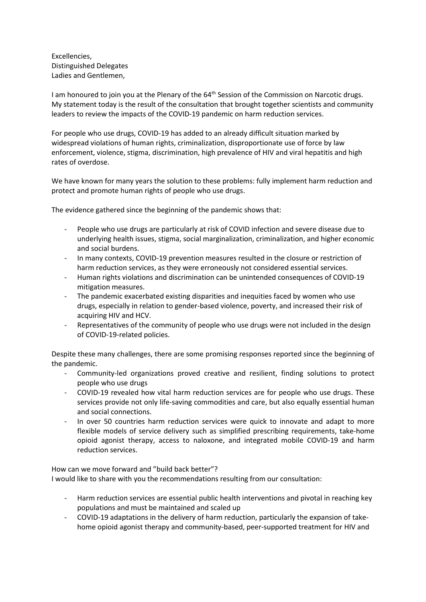Excellencies, Distinguished Delegates Ladies and Gentlemen,

I am honoured to join you at the Plenary of the 64<sup>th</sup> Session of the Commission on Narcotic drugs. My statement today is the result of the consultation that brought together scientists and community leaders to review the impacts of the COVID-19 pandemic on harm reduction services.

For people who use drugs, COVID-19 has added to an already difficult situation marked by widespread violations of human rights, criminalization, disproportionate use of force by law enforcement, violence, stigma, discrimination, high prevalence of HIV and viral hepatitis and high rates of overdose.

We have known for many years the solution to these problems: fully implement harm reduction and protect and promote human rights of people who use drugs.

The evidence gathered since the beginning of the pandemic shows that:

- People who use drugs are particularly at risk of COVID infection and severe disease due to underlying health issues, stigma, social marginalization, criminalization, and higher economic and social burdens.
- In many contexts, COVID-19 prevention measures resulted in the closure or restriction of harm reduction services, as they were erroneously not considered essential services.
- Human rights violations and discrimination can be unintended consequences of COVID-19 mitigation measures.
- The pandemic exacerbated existing disparities and inequities faced by women who use drugs, especially in relation to gender-based violence, poverty, and increased their risk of acquiring HIV and HCV.
- Representatives of the community of people who use drugs were not included in the design of COVID-19-related policies.

Despite these many challenges, there are some promising responses reported since the beginning of the pandemic.

- Community-led organizations proved creative and resilient, finding solutions to protect people who use drugs
- COVID-19 revealed how vital harm reduction services are for people who use drugs. These services provide not only life-saving commodities and care, but also equally essential human and social connections.
- In over 50 countries harm reduction services were quick to innovate and adapt to more flexible models of service delivery such as simplified prescribing requirements, take-home opioid agonist therapy, access to naloxone, and integrated mobile COVID-19 and harm reduction services.

How can we move forward and "build back better"? I would like to share with you the recommendations resulting from our consultation:

- Harm reduction services are essential public health interventions and pivotal in reaching key populations and must be maintained and scaled up
- COVID-19 adaptations in the delivery of harm reduction, particularly the expansion of takehome opioid agonist therapy and community-based, peer-supported treatment for HIV and